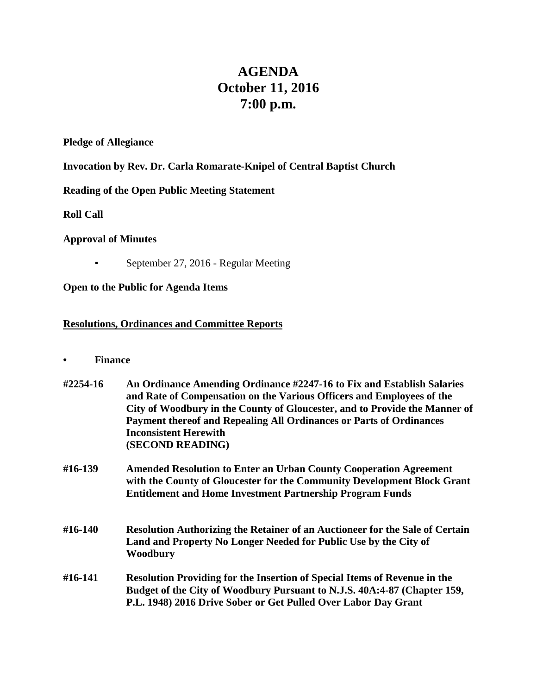# **AGENDA October 11, 2016 7:00 p.m.**

### **Pledge of Allegiance**

## **Invocation by Rev. Dr. Carla Romarate-Knipel of Central Baptist Church**

# **Reading of the Open Public Meeting Statement**

**Roll Call**

## **Approval of Minutes**

• September 27, 2016 - Regular Meeting

## **Open to the Public for Agenda Items**

## **Resolutions, Ordinances and Committee Reports**

**• Finance** 

| #2254-16 | An Ordinance Amending Ordinance #2247-16 to Fix and Establish Salaries<br>and Rate of Compensation on the Various Officers and Employees of the<br>City of Woodbury in the County of Gloucester, and to Provide the Manner of<br>Payment thereof and Repealing All Ordinances or Parts of Ordinances<br><b>Inconsistent Herewith</b><br>(SECOND READING) |
|----------|----------------------------------------------------------------------------------------------------------------------------------------------------------------------------------------------------------------------------------------------------------------------------------------------------------------------------------------------------------|
| #16-139  | <b>Amended Resolution to Enter an Urban County Cooperation Agreement</b><br>with the County of Gloucester for the Community Development Block Grant<br><b>Entitlement and Home Investment Partnership Program Funds</b>                                                                                                                                  |
| #16-140  | <b>Resolution Authorizing the Retainer of an Auctioneer for the Sale of Certain</b><br>Land and Property No Longer Needed for Public Use by the City of<br>Woodbury                                                                                                                                                                                      |

## **#16-141 Resolution Providing for the Insertion of Special Items of Revenue in the Budget of the City of Woodbury Pursuant to N.J.S. 40A:4-87 (Chapter 159, P.L. 1948) 2016 Drive Sober or Get Pulled Over Labor Day Grant**